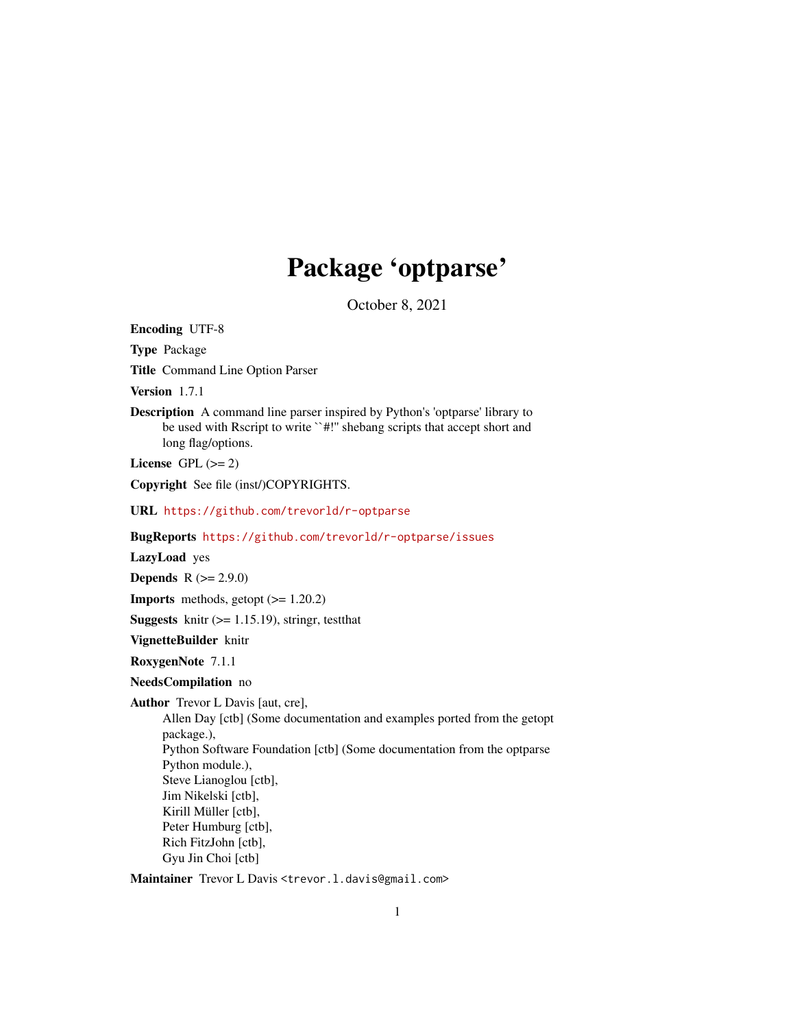## Package 'optparse'

October 8, 2021

<span id="page-0-0"></span>Encoding UTF-8

Type Package

Title Command Line Option Parser

Version 1.7.1

Description A command line parser inspired by Python's 'optparse' library to be used with Rscript to write ``#!'' shebang scripts that accept short and long flag/options.

License GPL  $(>= 2)$ 

Copyright See file (inst/)COPYRIGHTS.

URL <https://github.com/trevorld/r-optparse>

BugReports <https://github.com/trevorld/r-optparse/issues>

LazyLoad yes

**Depends**  $R (= 2.9.0)$ 

**Imports** methods, getopt  $(>= 1.20.2)$ 

**Suggests** knitr  $(>= 1.15.19)$ , stringr, test that

VignetteBuilder knitr

RoxygenNote 7.1.1

NeedsCompilation no

Author Trevor L Davis [aut, cre],

Allen Day [ctb] (Some documentation and examples ported from the getopt package.), Python Software Foundation [ctb] (Some documentation from the optparse Python module.), Steve Lianoglou [ctb], Jim Nikelski [ctb], Kirill Müller [ctb], Peter Humburg [ctb], Rich FitzJohn [ctb], Gyu Jin Choi [ctb]

Maintainer Trevor L Davis <trevor.1.davis@gmail.com>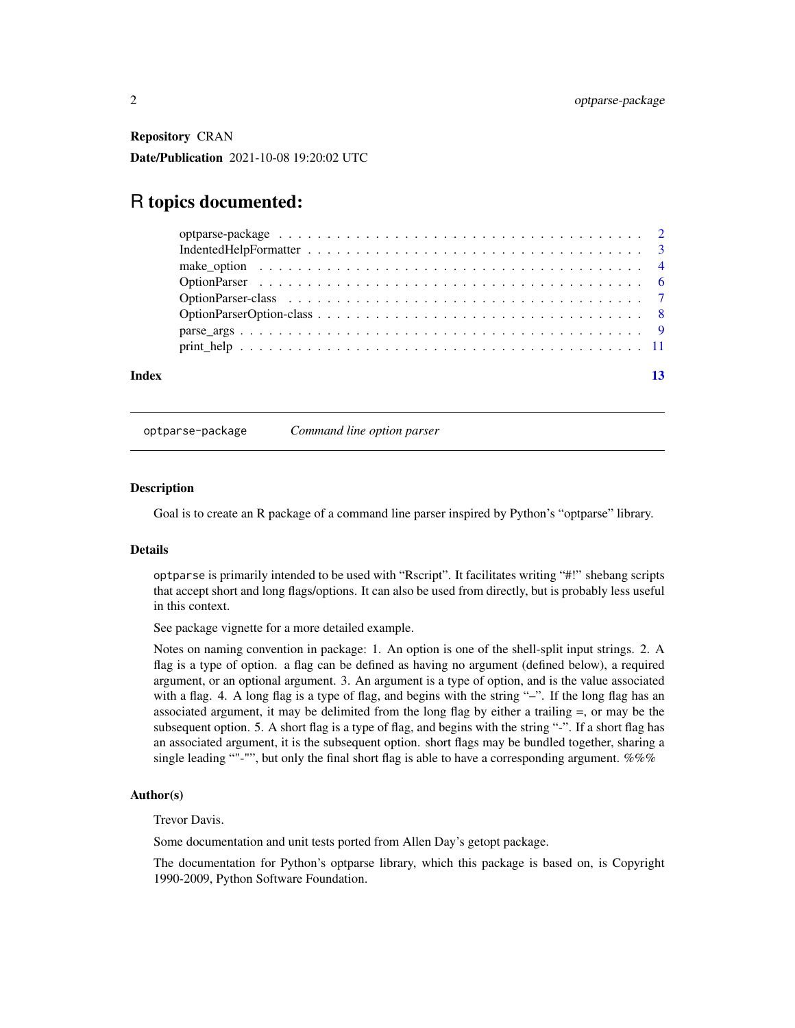<span id="page-1-0"></span>Repository CRAN

Date/Publication 2021-10-08 19:20:02 UTC

## R topics documented:

| Index |                                                                                                   |  |
|-------|---------------------------------------------------------------------------------------------------|--|
|       |                                                                                                   |  |
|       |                                                                                                   |  |
|       |                                                                                                   |  |
|       |                                                                                                   |  |
|       |                                                                                                   |  |
|       | make option $\ldots \ldots \ldots \ldots \ldots \ldots \ldots \ldots \ldots \ldots \ldots \ldots$ |  |
|       |                                                                                                   |  |
|       |                                                                                                   |  |

optparse-package *Command line option parser*

#### **Description**

Goal is to create an R package of a command line parser inspired by Python's "optparse" library.

### Details

optparse is primarily intended to be used with "Rscript". It facilitates writing "#!" shebang scripts that accept short and long flags/options. It can also be used from directly, but is probably less useful in this context.

See package vignette for a more detailed example.

Notes on naming convention in package: 1. An option is one of the shell-split input strings. 2. A flag is a type of option. a flag can be defined as having no argument (defined below), a required argument, or an optional argument. 3. An argument is a type of option, and is the value associated with a flag. 4. A long flag is a type of flag, and begins with the string "–". If the long flag has an associated argument, it may be delimited from the long flag by either a trailing =, or may be the subsequent option. 5. A short flag is a type of flag, and begins with the string "-". If a short flag has an associated argument, it is the subsequent option. short flags may be bundled together, sharing a single leading ""-"", but only the final short flag is able to have a corresponding argument.  $\%\%$ 

#### Author(s)

Trevor Davis.

Some documentation and unit tests ported from Allen Day's getopt package.

The documentation for Python's optparse library, which this package is based on, is Copyright 1990-2009, Python Software Foundation.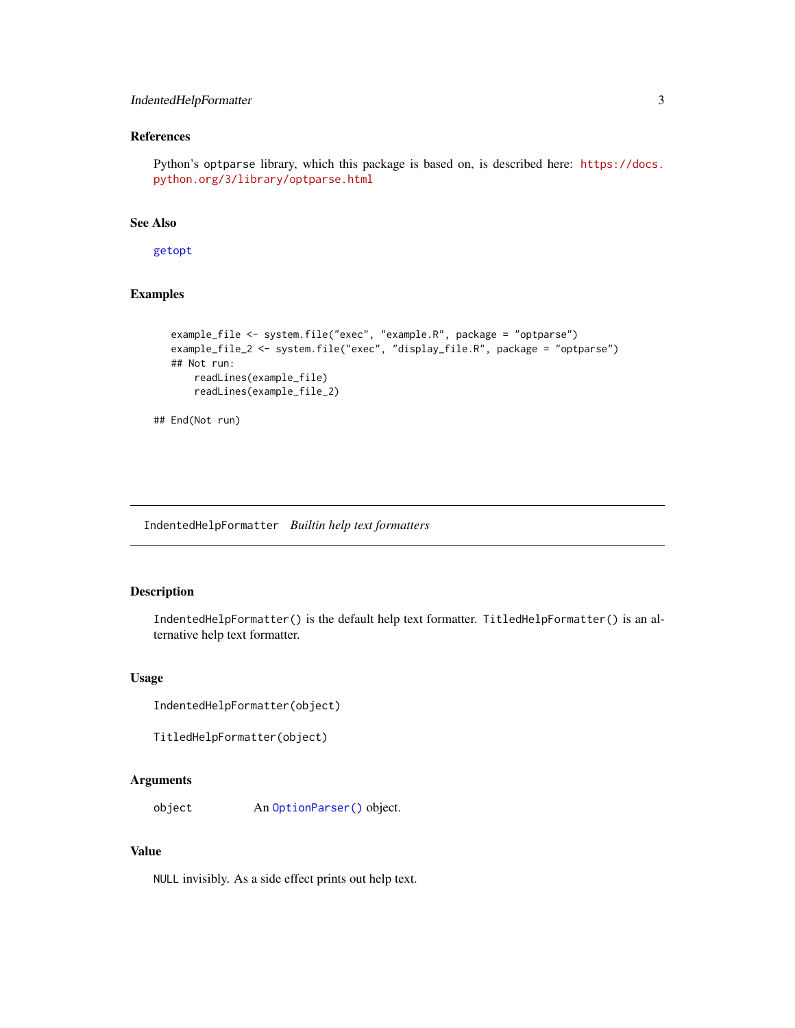## <span id="page-2-0"></span>IndentedHelpFormatter 3

## References

Python's optparse library, which this package is based on, is described here: [https://docs.](https://docs.python.org/3/library/optparse.html) [python.org/3/library/optparse.html](https://docs.python.org/3/library/optparse.html)

## See Also

[getopt](#page-0-0)

## Examples

```
example_file <- system.file("exec", "example.R", package = "optparse")
example_file_2 <- system.file("exec", "display_file.R", package = "optparse")
## Not run:
    readLines(example_file)
    readLines(example_file_2)
```
## End(Not run)

<span id="page-2-1"></span>IndentedHelpFormatter *Builtin help text formatters*

## <span id="page-2-2"></span>Description

IndentedHelpFormatter() is the default help text formatter. TitledHelpFormatter() is an alternative help text formatter.

#### Usage

```
IndentedHelpFormatter(object)
```

```
TitledHelpFormatter(object)
```
#### Arguments

object An [OptionParser\(\)](#page-5-1) object.

## Value

NULL invisibly. As a side effect prints out help text.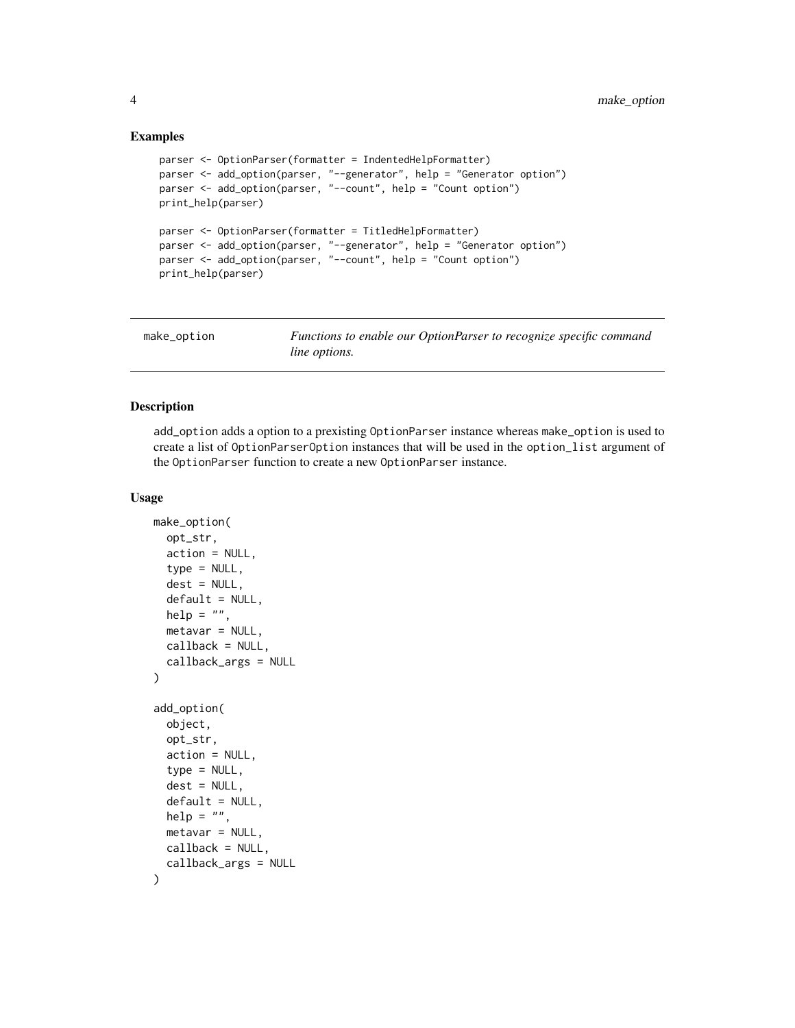#### Examples

```
parser <- OptionParser(formatter = IndentedHelpFormatter)
parser <- add_option(parser, "--generator", help = "Generator option")
parser <- add_option(parser, "--count", help = "Count option")
print_help(parser)
parser <- OptionParser(formatter = TitledHelpFormatter)
parser <- add_option(parser, "--generator", help = "Generator option")
parser <- add_option(parser, "--count", help = "Count option")
print_help(parser)
```
<span id="page-3-1"></span>

| make_option | Functions to enable our OptionParser to recognize specific command |
|-------------|--------------------------------------------------------------------|
|             | <i>line options.</i>                                               |

## <span id="page-3-2"></span>Description

add\_option adds a option to a prexisting OptionParser instance whereas make\_option is used to create a list of OptionParserOption instances that will be used in the option\_list argument of the OptionParser function to create a new OptionParser instance.

#### Usage

```
make_option(
  opt_str,
  action = NULL,
  type = NULL,
  dest = NULL,default = NULL,help = ",
  metavar = NULL,
  callback = NULL,
  callback_args = NULL
\lambdaadd_option(
  object,
  opt_str,
  action = NULL,
  type = NULL,dest = NULL,default = NULL,help = ",
  metavar = NULL,callback = NULL,
  callback_args = NULL
)
```
<span id="page-3-0"></span>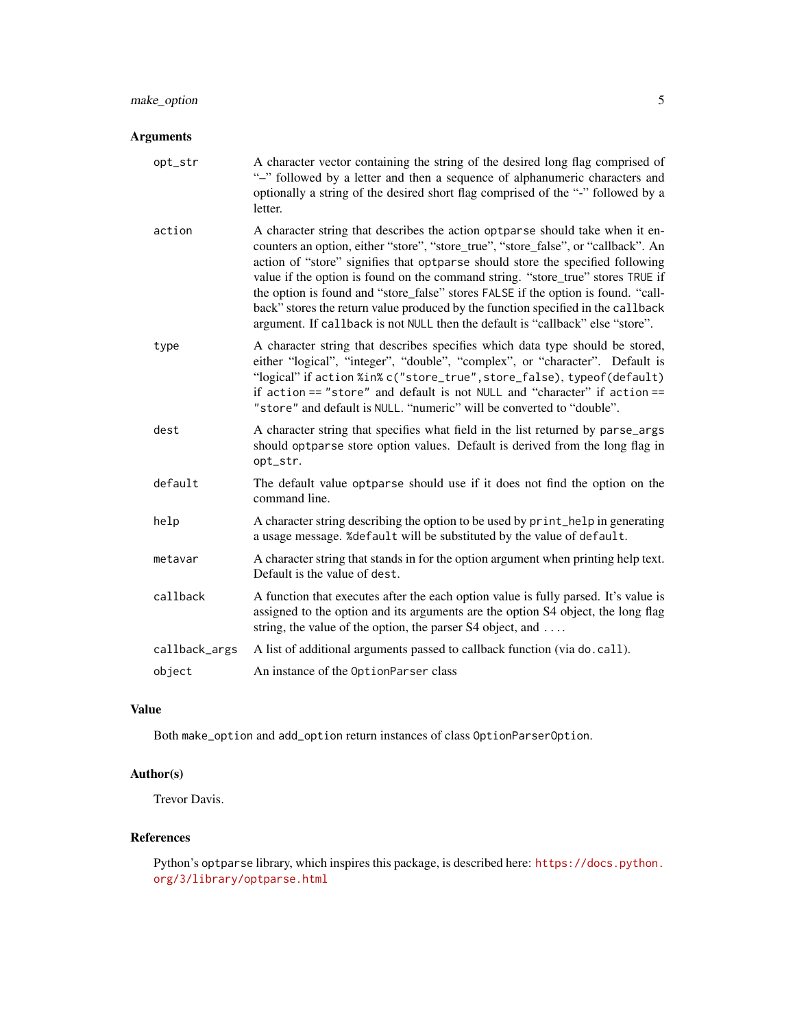## Arguments

| opt_str       | A character vector containing the string of the desired long flag comprised of<br>"-" followed by a letter and then a sequence of alphanumeric characters and<br>optionally a string of the desired short flag comprised of the "-" followed by a<br>letter.                                                                                                                                                                                                                                                                                                                                        |
|---------------|-----------------------------------------------------------------------------------------------------------------------------------------------------------------------------------------------------------------------------------------------------------------------------------------------------------------------------------------------------------------------------------------------------------------------------------------------------------------------------------------------------------------------------------------------------------------------------------------------------|
| action        | A character string that describes the action optparse should take when it en-<br>counters an option, either "store", "store_true", "store_false", or "callback". An<br>action of "store" signifies that optparse should store the specified following<br>value if the option is found on the command string. "store_true" stores TRUE if<br>the option is found and "store_false" stores FALSE if the option is found. "call-<br>back" stores the return value produced by the function specified in the callback<br>argument. If callback is not NULL then the default is "callback" else "store". |
| type          | A character string that describes specifies which data type should be stored,<br>either "logical", "integer", "double", "complex", or "character". Default is<br>"logical" if action %in% c("store_true", store_false), typeof(default)<br>if action == "store" and default is not NULL and "character" if action ==<br>"store" and default is NULL. "numeric" will be converted to "double".                                                                                                                                                                                                       |
| dest          | A character string that specifies what field in the list returned by parse_args<br>should optparse store option values. Default is derived from the long flag in<br>opt_str.                                                                                                                                                                                                                                                                                                                                                                                                                        |
| default       | The default value optparse should use if it does not find the option on the<br>command line.                                                                                                                                                                                                                                                                                                                                                                                                                                                                                                        |
| help          | A character string describing the option to be used by print_help in generating<br>a usage message. %default will be substituted by the value of default.                                                                                                                                                                                                                                                                                                                                                                                                                                           |
| metavar       | A character string that stands in for the option argument when printing help text.<br>Default is the value of dest.                                                                                                                                                                                                                                                                                                                                                                                                                                                                                 |
| callback      | A function that executes after the each option value is fully parsed. It's value is<br>assigned to the option and its arguments are the option S4 object, the long flag<br>string, the value of the option, the parser S4 object, and                                                                                                                                                                                                                                                                                                                                                               |
| callback_args | A list of additional arguments passed to callback function (via do. call).                                                                                                                                                                                                                                                                                                                                                                                                                                                                                                                          |
| object        | An instance of the OptionParser class                                                                                                                                                                                                                                                                                                                                                                                                                                                                                                                                                               |

## Value

Both make\_option and add\_option return instances of class OptionParserOption.

## Author(s)

Trevor Davis.

## References

Python's optparse library, which inspires this package, is described here: [https://docs.python.](https://docs.python.org/3/library/optparse.html) [org/3/library/optparse.html](https://docs.python.org/3/library/optparse.html)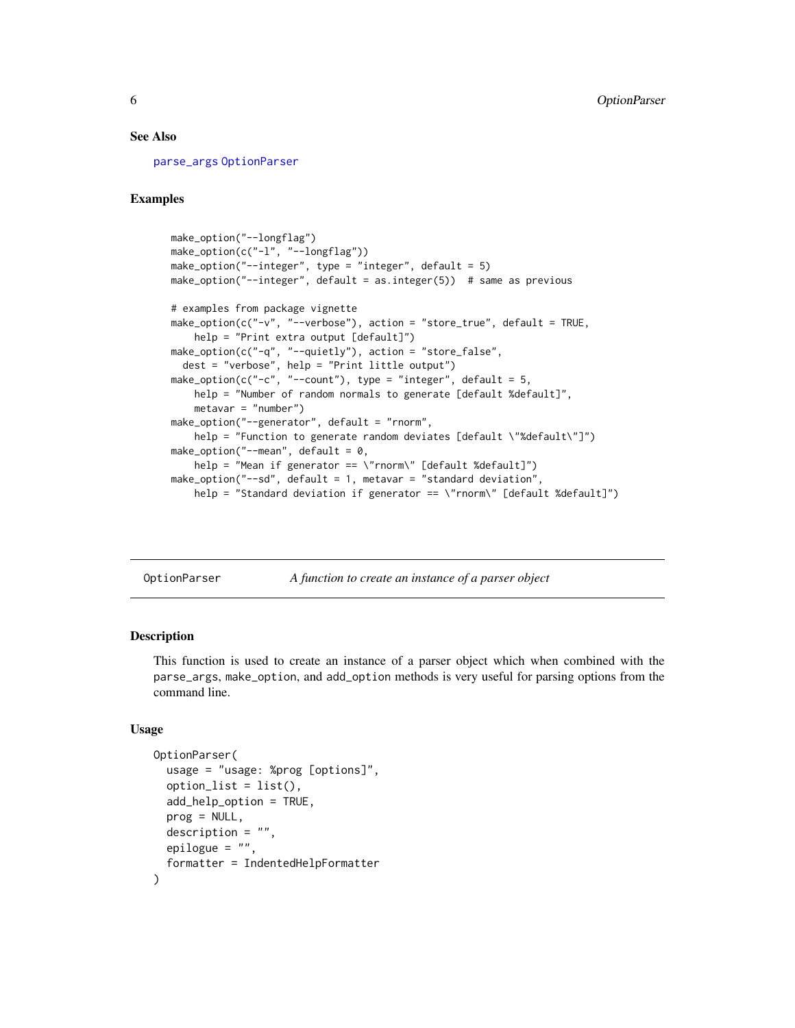#### <span id="page-5-0"></span>See Also

[parse\\_args](#page-8-1) [OptionParser](#page-5-1)

## Examples

```
make_option("--longflag")
make_option(c("-l", "--longflag"))
make_option("--integer", type = "integer", default = 5)
make_option("--integer", default = as.integer(5)) # same as previous
# examples from package vignette
make_option(c("-v", "--verbose"), action = "store_true", default = TRUE,
    help = "Print extra output [default]")
make_option(c("-q", "--quietly"), action = "store_false",
  dest = "verbose", help = "Print little output")
make_option(c("-c", "--count"), type = "integer", default = 5,
    help = "Number of random normals to generate [default %default]",
    metavar = "number")
make_option("--generator", default = "rnorm",
    help = "Function to generate random deviates [default \"%default\"]")
make_option("--mean", default = 0,
    help = "Mean if generator == \"rnorm\" [default %default]")
make_option("--sd", default = 1, metavar = "standard deviation",
    help = "Standard deviation if generator == \"rnorm\" [default %default]")
```
<span id="page-5-1"></span>OptionParser *A function to create an instance of a parser object*

#### Description

This function is used to create an instance of a parser object which when combined with the parse\_args, make\_option, and add\_option methods is very useful for parsing options from the command line.

#### Usage

```
OptionParser(
  usage = "usage: %prog [options]",
  option_list = list(),
  add_help_option = TRUE,
  prog = NULL,
  description = "",
  epilogue = ",
  formatter = IndentedHelpFormatter
)
```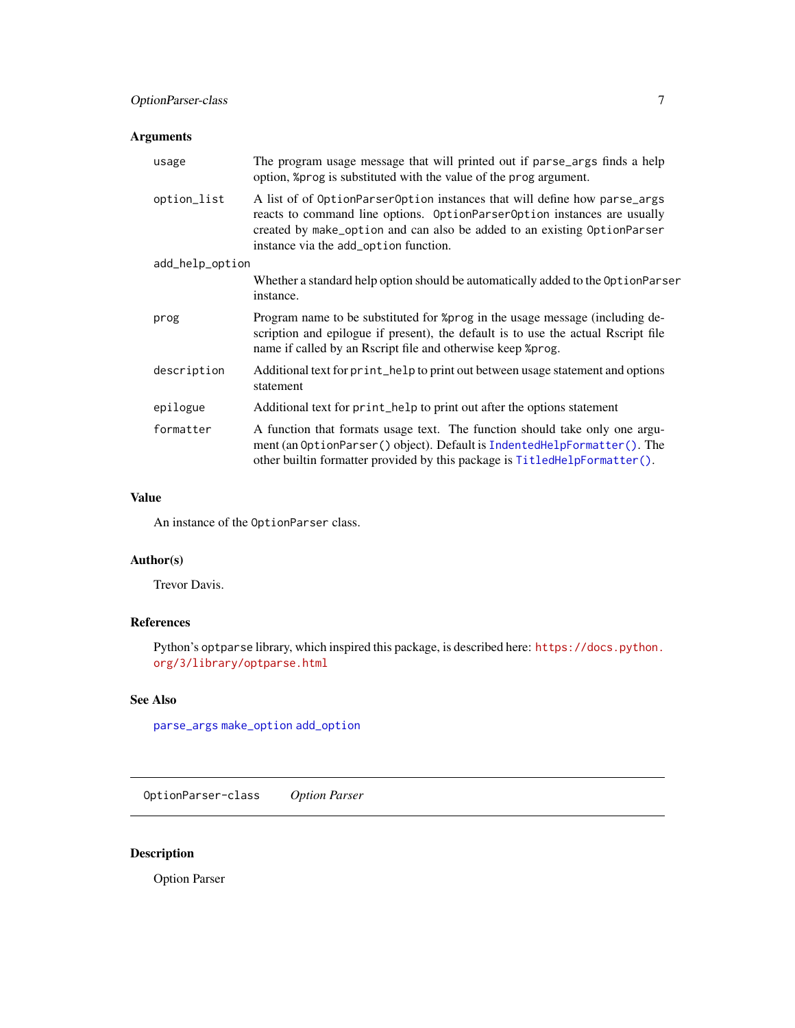## <span id="page-6-0"></span>Arguments

| usage           | The program usage message that will printed out if parse_args finds a help<br>option, % prog is substituted with the value of the prog argument.                                                                                                                           |  |  |  |  |
|-----------------|----------------------------------------------------------------------------------------------------------------------------------------------------------------------------------------------------------------------------------------------------------------------------|--|--|--|--|
| option_list     | A list of of OptionParserOption instances that will define how parse_args<br>reacts to command line options. OptionParserOption instances are usually<br>created by make_option and can also be added to an existing OptionParser<br>instance via the add_option function. |  |  |  |  |
| add_help_option |                                                                                                                                                                                                                                                                            |  |  |  |  |
|                 | Whether a standard help option should be automatically added to the OptionParser<br>instance.                                                                                                                                                                              |  |  |  |  |
| prog            | Program name to be substituted for %prog in the usage message (including de-<br>scription and epilogue if present), the default is to use the actual Rscript file<br>name if called by an Rscript file and otherwise keep %prog.                                           |  |  |  |  |
| description     | Additional text for print_help to print out between usage statement and options<br>statement                                                                                                                                                                               |  |  |  |  |
| epilogue        | Additional text for print_help to print out after the options statement                                                                                                                                                                                                    |  |  |  |  |
| formatter       | A function that formats usage text. The function should take only one argu-<br>ment (an OptionParser () object). Default is IndentedHelpFormatter (). The<br>other builtin formatter provided by this package is TitledHelpFormatter().                                    |  |  |  |  |

### Value

An instance of the OptionParser class.

## Author(s)

Trevor Davis.

## References

Python's optparse library, which inspired this package, is described here: [https://docs.python.](https://docs.python.org/3/library/optparse.html) [org/3/library/optparse.html](https://docs.python.org/3/library/optparse.html)

## See Also

[parse\\_args](#page-8-1) [make\\_option](#page-3-1) [add\\_option](#page-3-2)

OptionParser-class *Option Parser*

## Description

Option Parser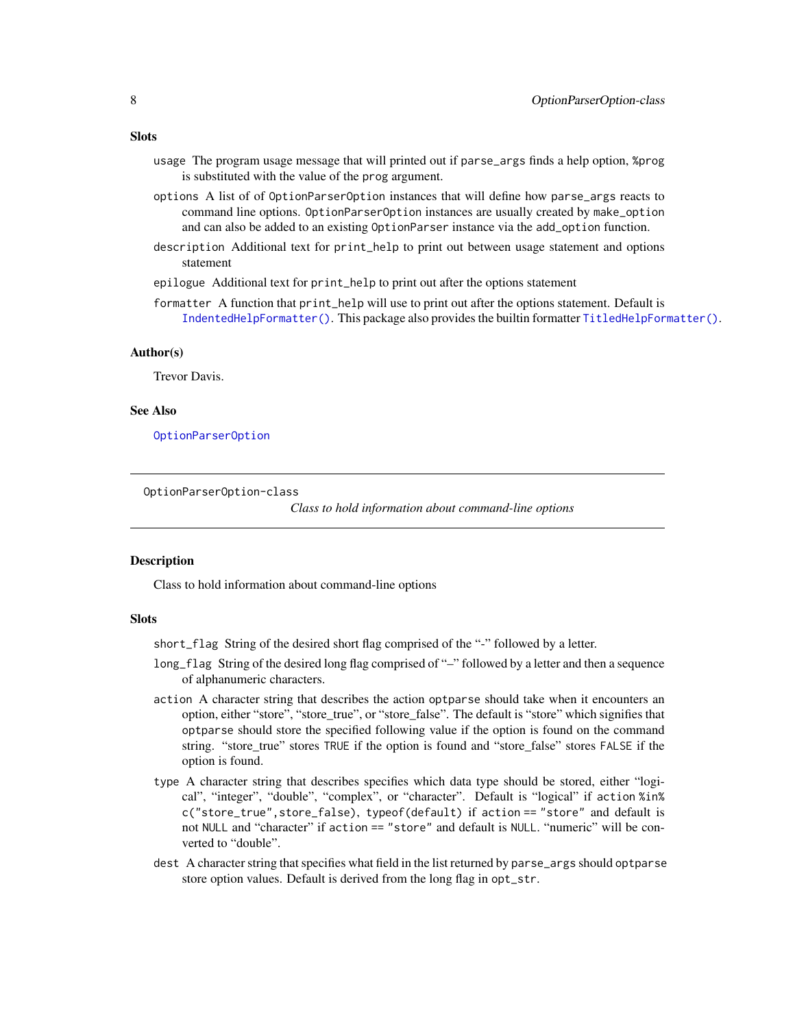#### <span id="page-7-0"></span>**Slots**

- usage The program usage message that will printed out if parse\_args finds a help option, %prog is substituted with the value of the prog argument.
- options A list of of OptionParserOption instances that will define how parse\_args reacts to command line options. OptionParserOption instances are usually created by make\_option and can also be added to an existing OptionParser instance via the add\_option function.
- description Additional text for print\_help to print out between usage statement and options statement
- epilogue Additional text for print\_help to print out after the options statement
- formatter A function that print\_help will use to print out after the options statement. Default is [IndentedHelpFormatter\(\)](#page-2-1). This package also provides the builtin formatter [TitledHelpFormatter\(\)](#page-2-2).

#### Author(s)

Trevor Davis.

#### See Also

[OptionParserOption](#page-7-1)

OptionParserOption-class

*Class to hold information about command-line options*

#### <span id="page-7-1"></span>Description

Class to hold information about command-line options

#### **Slots**

short\_flag String of the desired short flag comprised of the "-" followed by a letter.

- long\_flag String of the desired long flag comprised of "–" followed by a letter and then a sequence of alphanumeric characters.
- action A character string that describes the action optparse should take when it encounters an option, either "store", "store\_true", or "store\_false". The default is "store" which signifies that optparse should store the specified following value if the option is found on the command string. "store\_true" stores TRUE if the option is found and "store\_false" stores FALSE if the option is found.
- type A character string that describes specifies which data type should be stored, either "logical", "integer", "double", "complex", or "character". Default is "logical" if action %in% c("store\_true",store\_false), typeof(default) if action == "store" and default is not NULL and "character" if action == "store" and default is NULL. "numeric" will be converted to "double".
- dest A character string that specifies what field in the list returned by parse\_args should optparse store option values. Default is derived from the long flag in opt\_str.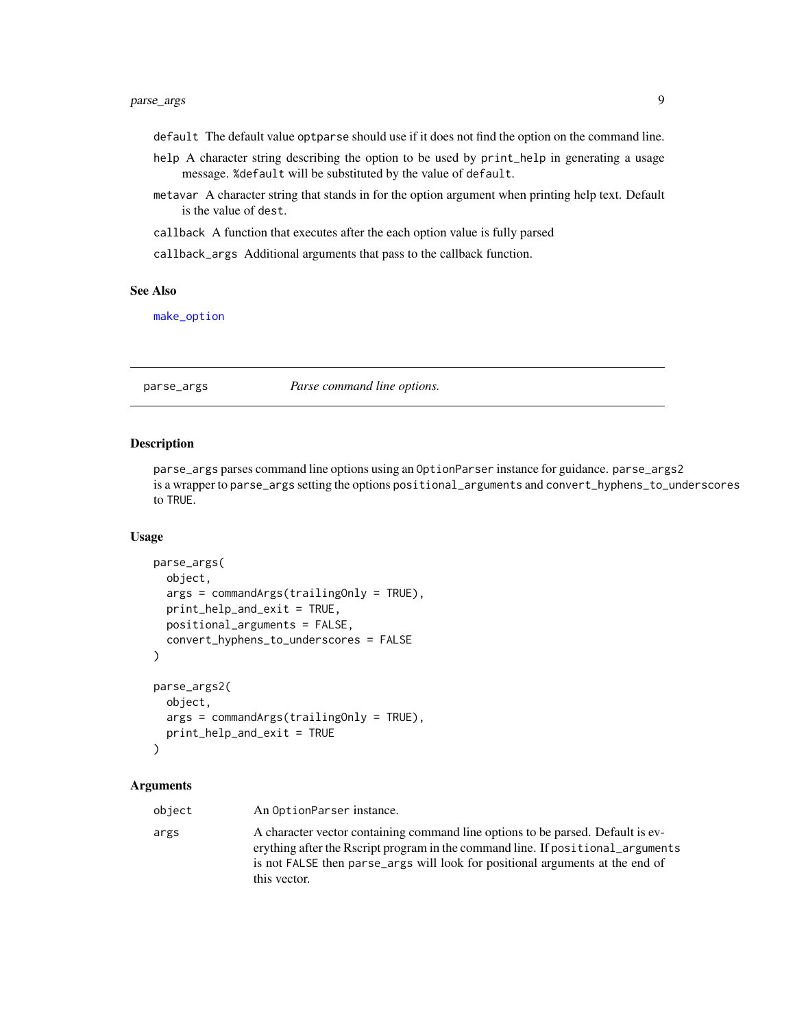## <span id="page-8-0"></span>parse\_args 9

- default The default value optparse should use if it does not find the option on the command line.
- help A character string describing the option to be used by print\_help in generating a usage message. %default will be substituted by the value of default.
- metavar A character string that stands in for the option argument when printing help text. Default is the value of dest.
- callback A function that executes after the each option value is fully parsed
- callback\_args Additional arguments that pass to the callback function.

#### See Also

[make\\_option](#page-3-1)

## <span id="page-8-1"></span>parse\_args *Parse command line options.*

#### **Description**

parse\_args parses command line options using an OptionParser instance for guidance. parse\_args2 is a wrapper to parse\_args setting the options positional\_arguments and convert\_hyphens\_to\_underscores to TRUE.

#### Usage

```
parse_args(
  object,
  args = commandArgs(trailingOnly = TRUE),
  print_help_and_exit = TRUE,
  positional_arguments = FALSE,
  convert_hyphens_to_underscores = FALSE
)
parse_args2(
  object,
  args = commandArgs(trailingOnly = TRUE),
  print_help_and_exit = TRUE
)
```
## Arguments

object An OptionParser instance. args A character vector containing command line options to be parsed. Default is everything after the Rscript program in the command line. If positional\_arguments is not FALSE then parse\_args will look for positional arguments at the end of this vector.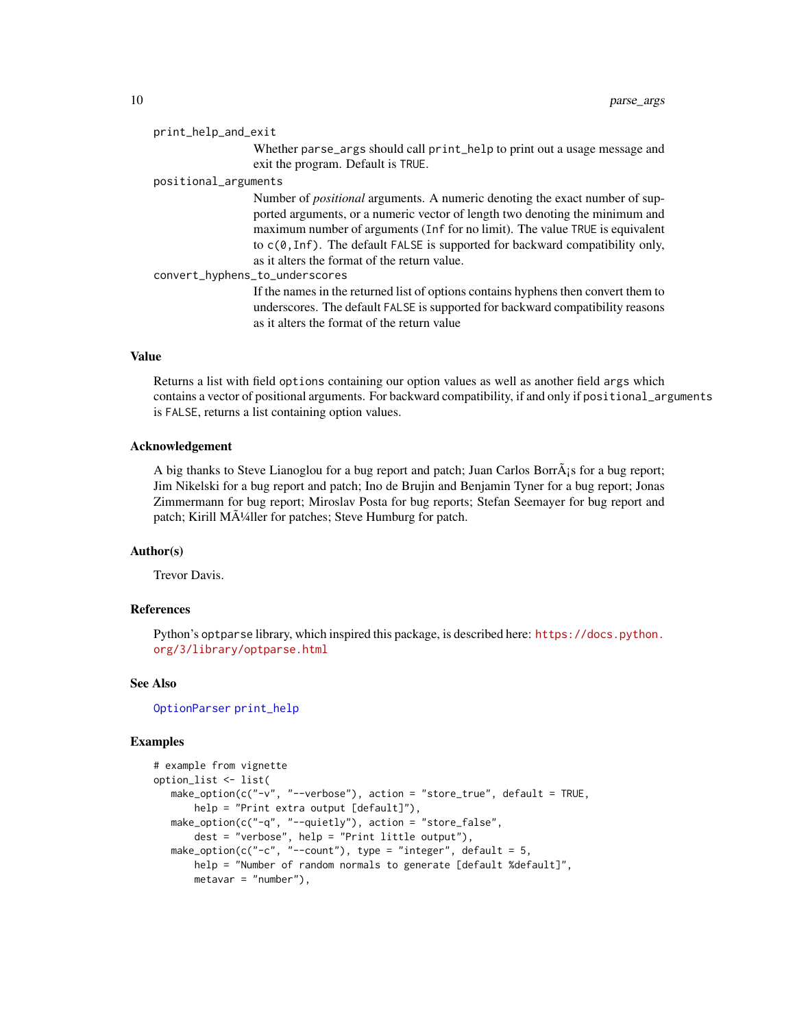#### <span id="page-9-0"></span>print\_help\_and\_exit

Whether parse\_args should call print\_help to print out a usage message and exit the program. Default is TRUE.

#### positional\_arguments

Number of *positional* arguments. A numeric denoting the exact number of supported arguments, or a numeric vector of length two denoting the minimum and maximum number of arguments (Inf for no limit). The value TRUE is equivalent to c(0,Inf). The default FALSE is supported for backward compatibility only, as it alters the format of the return value.

convert\_hyphens\_to\_underscores

If the names in the returned list of options contains hyphens then convert them to underscores. The default FALSE is supported for backward compatibility reasons as it alters the format of the return value

## Value

Returns a list with field options containing our option values as well as another field args which contains a vector of positional arguments. For backward compatibility, if and only if positional\_arguments is FALSE, returns a list containing option values.

#### Acknowledgement

A big thanks to Steve Lianoglou for a bug report and patch; Juan Carlos Borr $\tilde{A}$  is for a bug report; Jim Nikelski for a bug report and patch; Ino de Brujin and Benjamin Tyner for a bug report; Jonas Zimmermann for bug report; Miroslav Posta for bug reports; Stefan Seemayer for bug report and patch; Kirill Mļller for patches; Steve Humburg for patch.

### Author(s)

Trevor Davis.

#### References

Python's optparse library, which inspired this package, is described here: [https://docs.python.](https://docs.python.org/3/library/optparse.html) [org/3/library/optparse.html](https://docs.python.org/3/library/optparse.html)

#### See Also

[OptionParser](#page-5-1) [print\\_help](#page-10-1)

#### Examples

```
# example from vignette
option_list <- list(
  make_option(c("-v", "--verbose"), action = "store_true", default = TRUE,
      help = "Print extra output [default]"),
  make_option(c("-q", "--quietly"), action = "store_false",
      dest = "verbose", help = "Print little output"),
  make_option(c("-c", "--count"), type = "integer", default = 5,
      help = "Number of random normals to generate [default %default]",
      metavar = "number"),
```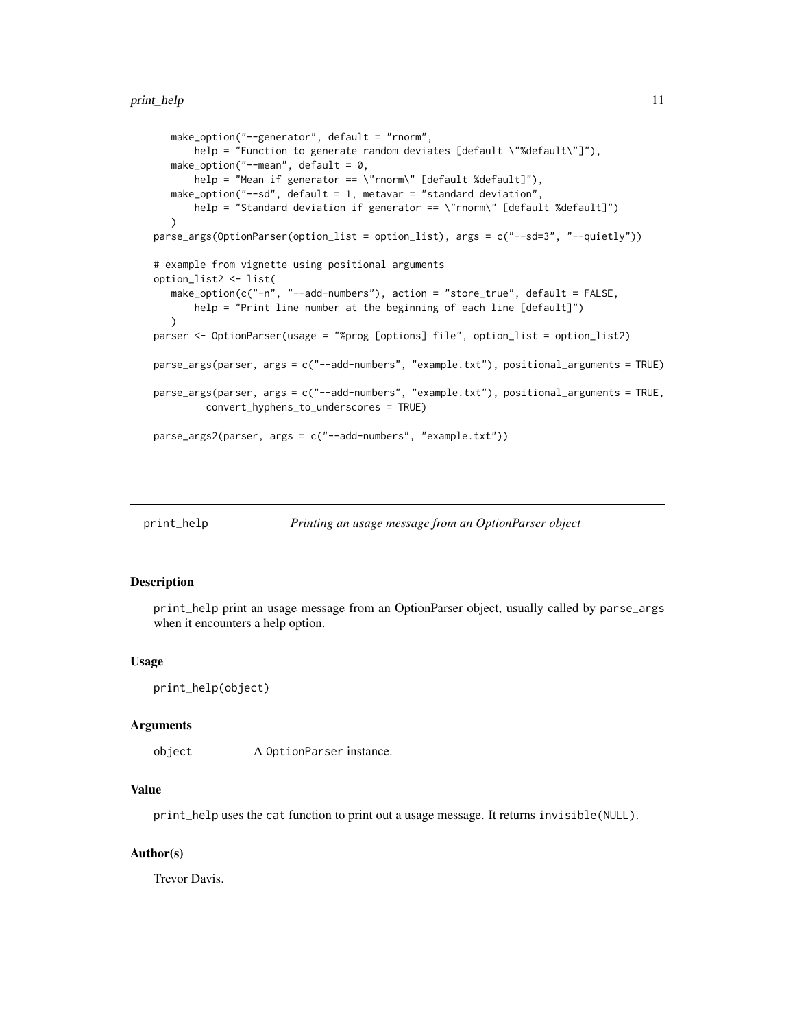```
make_option("--generator", default = "rnorm",
       help = "Function to generate random deviates [default \"%default\"]"),
  make_option("--mean", default = 0,
      help = "Mean if generator == \"rnorm\" [default %default]"),
  make_option("--sd", default = 1, metavar = "standard deviation",
      help = "Standard deviation if generator == \"rnorm\" [default %default]")
  \lambdaparse_args(OptionParser(option_list = option_list), args = c("--sd=3", "--quietly"))
# example from vignette using positional arguments
option_list2 <- list(
  make_option(c("-n", "--add-numbers"), action = "store_true", default = FALSE,
       help = "Print line number at the beginning of each line [default]")
  \lambdaparser <- OptionParser(usage = "%prog [options] file", option_list = option_list2)
parse_args(parser, args = c("--add-numbers", "example.txt"), positional_arguments = TRUE)
parse_args(parser, args = c("--add-numbers", "example.txt"), positional_arguments = TRUE,
         convert_hyphens_to_underscores = TRUE)
parse_args2(parser, args = c("--add-numbers", "example.txt"))
```
<span id="page-10-1"></span>

| print_help | Printing an usage message from an OptionParser object |  |
|------------|-------------------------------------------------------|--|
|            |                                                       |  |

#### Description

print\_help print an usage message from an OptionParser object, usually called by parse\_args when it encounters a help option.

#### Usage

```
print_help(object)
```
#### Arguments

object A OptionParser instance.

### Value

print\_help uses the cat function to print out a usage message. It returns invisible(NULL).

### Author(s)

Trevor Davis.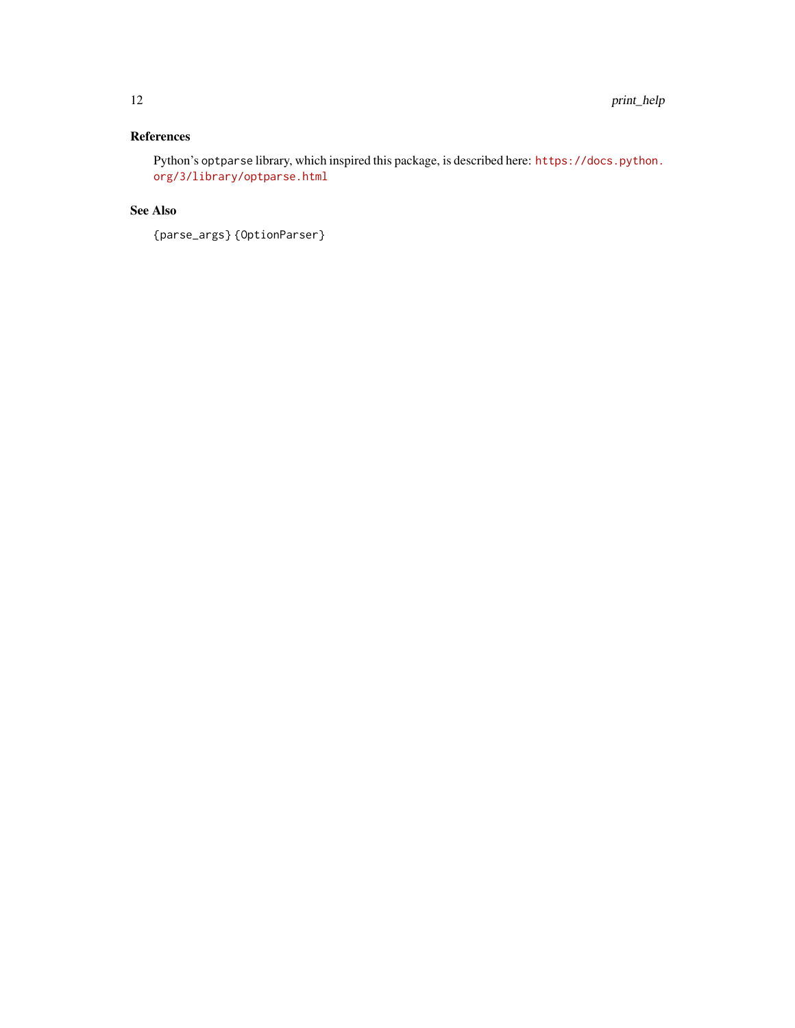## References

Python's optparse library, which inspired this package, is described here: [https://docs.python.](https://docs.python.org/3/library/optparse.html) [org/3/library/optparse.html](https://docs.python.org/3/library/optparse.html)

## See Also

{parse\_args} {OptionParser}